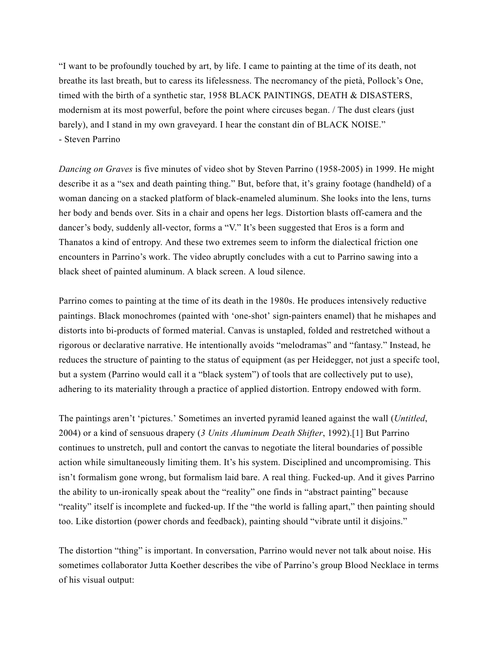"I want to be profoundly touched by art, by life. I came to painting at the time of its death, not breathe its last breath, but to caress its lifelessness. The necromancy of the pietà, Pollock's One, timed with the birth of a synthetic star, 1958 BLACK PAINTINGS, DEATH & DISASTERS, modernism at its most powerful, before the point where circuses began. / The dust clears (just barely), and I stand in my own graveyard. I hear the constant din of BLACK NOISE." - Steven Parrino

*Dancing on Graves* is five minutes of video shot by Steven Parrino (1958-2005) in 1999. He might describe it as a "sex and death painting thing." But, before that, it's grainy footage (handheld) of a woman dancing on a stacked platform of black-enameled aluminum. She looks into the lens, turns her body and bends over. Sits in a chair and opens her legs. Distortion blasts off-camera and the dancer's body, suddenly all-vector, forms a "V." It's been suggested that Eros is a form and Thanatos a kind of entropy. And these two extremes seem to inform the dialectical friction one encounters in Parrino's work. The video abruptly concludes with a cut to Parrino sawing into a black sheet of painted aluminum. A black screen. A loud silence.

Parrino comes to painting at the time of its death in the 1980s. He produces intensively reductive paintings. Black monochromes (painted with 'one-shot' sign-painters enamel) that he mishapes and distorts into bi-products of formed material. Canvas is unstapled, folded and restretched without a rigorous or declarative narrative. He intentionally avoids "melodramas" and "fantasy." Instead, he reduces the structure of painting to the status of equipment (as per Heidegger, not just a specifc tool, but a system (Parrino would call it a "black system") of tools that are collectively put to use), adhering to its materiality through a practice of applied distortion. Entropy endowed with form.

The paintings aren't 'pictures.' Sometimes an inverted pyramid leaned against the wall (*Untitled*, 2004) or a kind of sensuous drapery (*3 Units Aluminum Death Shifter*, 1992).[1] But Parrino continues to unstretch, pull and contort the canvas to negotiate the literal boundaries of possible action while simultaneously limiting them. It's his system. Disciplined and uncompromising. This isn't formalism gone wrong, but formalism laid bare. A real thing. Fucked-up. And it gives Parrino the ability to un-ironically speak about the "reality" one finds in "abstract painting" because "reality" itself is incomplete and fucked-up. If the "the world is falling apart," then painting should too. Like distortion (power chords and feedback), painting should "vibrate until it disjoins."

The distortion "thing" is important. In conversation, Parrino would never not talk about noise. His sometimes collaborator Jutta Koether describes the vibe of Parrino's group Blood Necklace in terms of his visual output: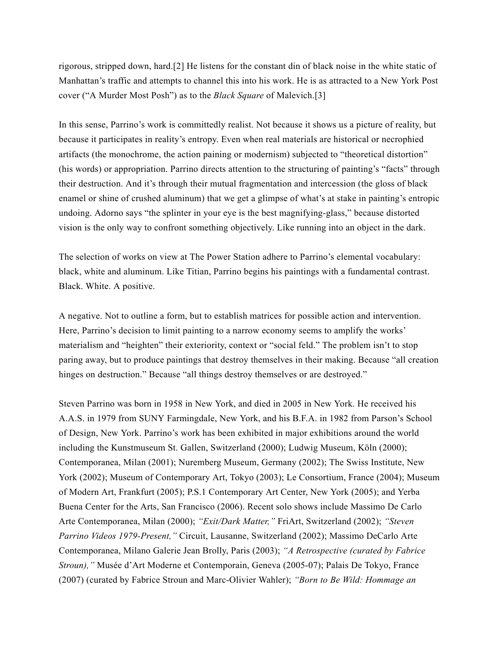rigorous, stripped down, hard.[2] He listens for the constant din of black noise in the white static of Manhattan's traffic and attempts to channel this into his work. He is as attracted to a New York Post cover ("A Murder Most Posh") as to the *Black Square* of Malevich.[3]

In this sense, Parrino's work is committedly realist. Not because it shows us a picture of reality, but because it participates in reality's entropy. Even when real materials are historical or necrophied artifacts (the monochrome, the action paining or modernism) subjected to "theoretical distortion" (his words) or appropriation. Parrino directs attention to the structuring of painting's "facts" through their destruction. And it's through their mutual fragmentation and intercession (the gloss of black enamel or shine of crushed aluminum) that we get a glimpse of what's at stake in painting's entropic undoing. Adorno says "the splinter in your eye is the best magnifying-glass," because distorted vision is the only way to confront something objectively. Like running into an object in the dark.

The selection of works on view at The Power Station adhere to Parrino's elemental vocabulary: black, white and aluminum. Like Titian, Parrino begins his paintings with a fundamental contrast. Black. White. A positive.

A negative. Not to outline a form, but to establish matrices for possible action and intervention. Here, Parrino's decision to limit painting to a narrow economy seems to amplify the works' materialism and "heighten" their exteriority, context or "social feld." The problem isn't to stop paring away, but to produce paintings that destroy themselves in their making. Because "all creation hinges on destruction." Because "all things destroy themselves or are destroyed."

Steven Parrino was born in 1958 in New York, and died in 2005 in New York. He received his A.A.S. in 1979 from SUNY Farmingdale, New York, and his B.F.A. in 1982 from Parson's School of Design, New York. Parrino's work has been exhibited in major exhibitions around the world including the Kunstmuseum St. Gallen, Switzerland (2000); Ludwig Museum, Köln (2000); Contemporanea, Milan (2001); Nuremberg Museum, Germany (2002); The Swiss Institute, New York (2002); Museum of Contemporary Art, Tokyo (2003); Le Consortium, France (2004); Museum of Modern Art, Frankfurt (2005); P.S.1 Contemporary Art Center, New York (2005); and Yerba Buena Center for the Arts, San Francisco (2006). Recent solo shows include Massimo De Carlo Arte Contemporanea, Milan (2000); *"Exit/Dark Matter,"* FriArt, Switzerland (2002); *"Steven Parrino Videos 1979-Present,"* Circuit, Lausanne, Switzerland (2002); Massimo DeCarlo Arte Contemporanea, Milano Galerie Jean Brolly, Paris (2003); *"A Retrospective (curated by Fabrice Stroun),"* Musée d'Art Moderne et Contemporain, Geneva (2005-07); Palais De Tokyo, France (2007) (curated by Fabrice Stroun and Marc-Olivier Wahler); *"Born to Be Wild: Hommage an*